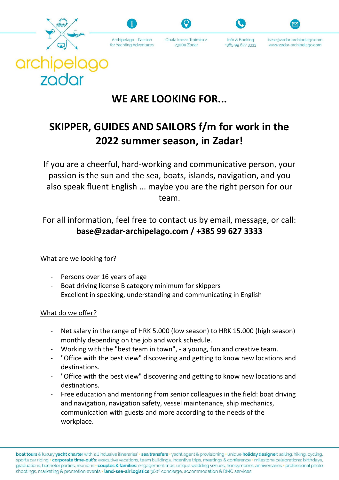



for Yachting Adventures

Obala kneza Trpimira 2

23000 Zadar



base@zadar-archipelago.com www.zadar-archipelago.com



## **WE ARE LOOKING FOR...**

## **SKIPPER, GUIDES AND SAILORS f/m for work in the 2022 summer season, in Zadar!**

If you are a cheerful, hard-working and communicative person, your passion is the sun and the sea, boats, islands, navigation, and you also speak fluent English ... maybe you are the right person for our team.

For all information, feel free to contact us by email, message, or call: **base@zadar-archipelago.com / +385 99 627 3333**

### What are we looking for?

- Persons over 16 years of age
- Boat driving license B category minimum for skippers Excellent in speaking, understanding and communicating in English

#### What do we offer?

- Net salary in the range of HRK 5.000 (low season) to HRK 15.000 (high season) monthly depending on the job and work schedule.
- Working with the "best team in town", a young, fun and creative team.
- "Office with the best view" discovering and getting to know new locations and destinations.
- "Office with the best view" discovering and getting to know new locations and destinations.
- Free education and mentoring from senior colleagues in the field: boat driving and navigation, navigation safety, vessel maintenance, ship mechanics, communication with guests and more according to the needs of the workplace.